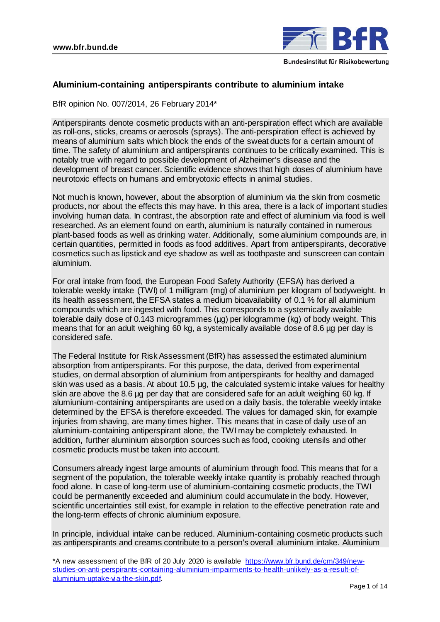

# **Aluminium-containing antiperspirants contribute to aluminium intake**

BfR opinion No. 007/2014, 26 February 2014\*

Antiperspirants denote cosmetic products with an anti-perspiration effect which are available as roll-ons, sticks, creams or aerosols (sprays). The anti-perspiration effect is achieved by means of aluminium salts which block the ends of the sweat ducts for a certain amount of time. The safety of aluminium and antiperspirants continues to be critically examined. This is notably true with regard to possible development of Alzheimer's disease and the development of breast cancer. Scientific evidence shows that high doses of aluminium have neurotoxic effects on humans and embryotoxic effects in animal studies.

Not much is known, however, about the absorption of aluminium via the skin from cosmetic products, nor about the effects this may have. In this area, there is a lack of important studies involving human data. In contrast, the absorption rate and effect of aluminium via food is well researched. As an element found on earth, aluminium is naturally contained in numerous plant-based foods as well as drinking water. Additionally, some aluminium compounds are, in certain quantities, permitted in foods as food additives. Apart from antiperspirants, decorative cosmetics such as lipstick and eye shadow as well as toothpaste and sunscreen can contain aluminium.

For oral intake from food, the European Food Safety Authority (EFSA) has derived a tolerable weekly intake (TWI) of 1 milligram (mg) of aluminium per kilogram of bodyweight. In its health assessment, the EFSA states a medium bioavailability of 0.1 % for all aluminium compounds which are ingested with food. This corresponds to a systemically available tolerable daily dose of 0.143 microgrammes (µg) per kilogramme (kg) of body weight. This means that for an adult weighing 60 kg, a systemically available dose of 8.6 µg per day is considered safe.

The Federal Institute for Risk Assessment (BfR) has assessed the estimated aluminium absorption from antiperspirants. For this purpose, the data, derived from experimental studies, on dermal absorption of aluminium from antiperspirants for healthy and damaged skin was used as a basis. At about 10.5 µg, the calculated systemic intake values for healthy skin are above the 8.6 ug per day that are considered safe for an adult weighing 60 kg. If alumiunium-containing antiperspirants are used on a daily basis, the tolerable weekly intake determined by the EFSA is therefore exceeded. The values for damaged skin, for example injuries from shaving, are many times higher. This means that in case of daily use of an aluminium-containing antiperspirant alone, the TWI may be completely exhausted. In addition, further aluminium absorption sources such as food, cooking utensils and other cosmetic products must be taken into account.

Consumers already ingest large amounts of aluminium through food. This means that for a segment of the population, the tolerable weekly intake quantity is probably reached through food alone. In case of long-term use of aluminium-containing cosmetic products, the TWI could be permanently exceeded and aluminium could accumulate in the body. However, scientific uncertainties still exist, for example in relation to the effective penetration rate and the long-term effects of chronic aluminium exposure.

In principle, individual intake can be reduced. Aluminium-containing cosmetic products such as antiperspirants and creams contribute to a person's overall aluminium intake. Aluminium

<sup>\*</sup>A new assessment of the BfR of 20 July 2020 is available [https://www.bfr.bund.de/cm/349/new](https://www.bfr.bund.de/cm/349/new-studies-on-anti-perspirants-containing-aluminium-impairments-to-health-unlikely-as-a-result-of-aluminium-uptake-via-the-skin.pdf)[studies-on-anti-perspirants-containing-aluminium-impairments-to-health-unlikely-as-a-result-of](https://www.bfr.bund.de/cm/349/new-studies-on-anti-perspirants-containing-aluminium-impairments-to-health-unlikely-as-a-result-of-aluminium-uptake-via-the-skin.pdf)[aluminium-uptake-via-the-skin.pdf.](https://www.bfr.bund.de/cm/349/new-studies-on-anti-perspirants-containing-aluminium-impairments-to-health-unlikely-as-a-result-of-aluminium-uptake-via-the-skin.pdf)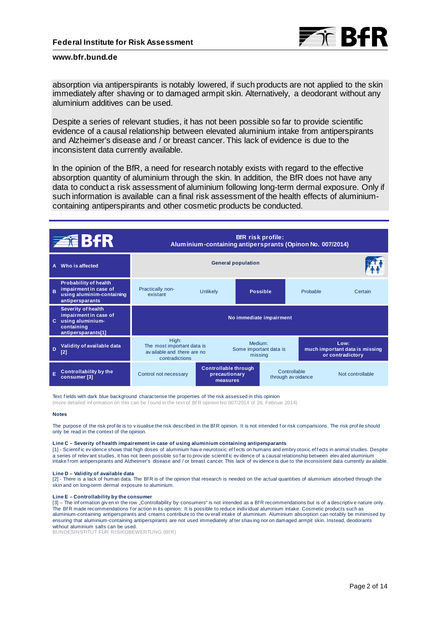

absorption via antiperspirants is notably lowered, if such products are not applied to the skin immediately after shaving or to damaged armpit skin. Alternatively, a deodorant without any aluminium additives can be used.

Despite a series of relevant studies, it has not been possible so far to provide scientific evidence of a causal relationship between elevated aluminium intake from antiperspirants and Alzheimer's disease and / or breast cancer. This lack of evidence is due to the inconsistent data currently available.

In the opinion of the BfR, a need for research notably exists with regard to the effective absorption quantity of aluminium through the skin. In addition, the BfR does not have any data to conduct a risk assessment of aluminium following long-term dermal exposure. Only if such information is available can a final risk assessment of the health effects of aluminiumcontaining antiperspirants and other cosmetic products be conducted.

| <b>ZEBfR</b> |                                                                                                            | <b>BfR</b> risk profile:<br>Aluminium-containing antipersprants (Opinon No. 007/2014) |                                                   |                                              |                                    |          |                                                            |  |
|--------------|------------------------------------------------------------------------------------------------------------|---------------------------------------------------------------------------------------|---------------------------------------------------|----------------------------------------------|------------------------------------|----------|------------------------------------------------------------|--|
| A            | Who is affected                                                                                            | <b>General population</b>                                                             |                                                   |                                              |                                    |          |                                                            |  |
| B            | <b>Probability of health</b><br>impairment in case of<br>using aluminim-containing<br>antipersparants      | Practically non-<br>existant                                                          | <b>Unlikely</b>                                   |                                              | <b>Possible</b>                    | Probable | Certain                                                    |  |
| C.           | <b>Severity of health</b><br>impairment in case of<br>using aluminium-<br>containing<br>antipersparants[1] | No immediate impairment                                                               |                                                   |                                              |                                    |          |                                                            |  |
| D            | Validity of available data<br>[2]                                                                          | High:<br>The most important data is<br>available and there are no<br>contradictions   |                                                   | Medium:<br>Some important data is<br>missing |                                    |          | Low:<br>much important data is missing<br>or contradictory |  |
| Ė            | <b>Controllability by the</b><br>consumer <sup>[3]</sup>                                                   | Control not necessary                                                                 | Controllable through<br>precautionary<br>measures |                                              | Controllable<br>through av oidance |          | Not controllable                                           |  |

Text f ields with dark blue background characterise the properties of the risk assessed in this opinion (more detailed inf ormation on this can be f ound in the text of Bf R opinion No 007/2014 of 26. Februar 2014)

#### **Notes**

The purpose of the risk profile is to visualise the risk described in the BfR opinion. It is not intended for risk comparisions. The risk profile should only be read in the context of the opinion.

#### **Line C – Severity of health impairement in case of using aluminium containing antipersparants**

[1] - Scientific evidence shows that high doses of aluminium have neurotoxic effects on humans and embry otoxic effects in animal studies. Despite a series of relev ant studies, it has not been possible so far to provide scientific evidence of a causal relationship between elev ated aluminium intake f rom antiperspirants and Alzheimer's disease and / or breast cancer. This lack of ev idence is due to the inconsistent data currently av ailable.

#### **Line D – Validity of available data**

[2] - There is a lack of human data. The BfR is of the opinion that research is needed on the actual quantities of aluminium absorbed through the skin and on long-term dermal exposure to aluminium.

#### **Line E – Controllability by the consumer**

[3] – The information giv en in the row "Controllability by consumers" is not intended as a BfR recommendations but is of a descriptive nature only. The BfR made recommendations for action in its opinion: It is possible to reduce indiv idual aluminium intake. Cosmetic products such as aluminium-containing antiperspirants and creams contribute to the ov erall intake of aluminium. Aluminium absorption can notably be minimised by ensuring that aluminium-containing antiperspirants are not used immediately af ter shav ing nor on damaged armpit skin. Instead, deodorants without aluminium salts can be used.

BUNDESINSTITUT FÜR RISIKOBEWERTUNG (BfR)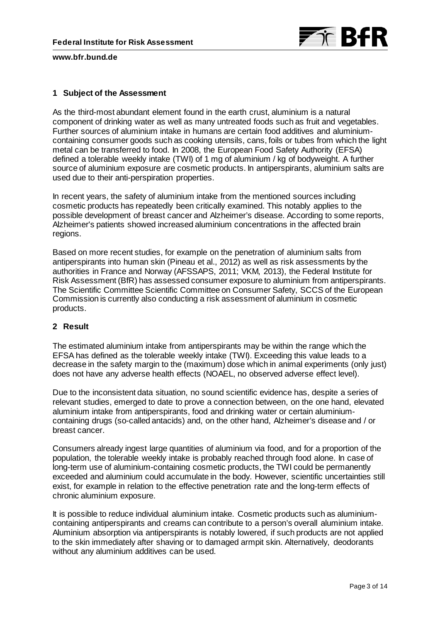

# **1 Subject of the Assessment**

As the third-most abundant element found in the earth crust, aluminium is a natural component of drinking water as well as many untreated foods such as fruit and vegetables. Further sources of aluminium intake in humans are certain food additives and aluminiumcontaining consumer goods such as cooking utensils, cans, foils or tubes from which the light metal can be transferred to food. In 2008, the European Food Safety Authority (EFSA) defined a tolerable weekly intake (TWI) of 1 mg of aluminium / kg of bodyweight. A further source of aluminium exposure are cosmetic products. In antiperspirants, aluminium salts are used due to their anti-perspiration properties.

In recent years, the safety of aluminium intake from the mentioned sources including cosmetic products has repeatedly been critically examined. This notably applies to the possible development of breast cancer and Alzheimer's disease. According to some reports, Alzheimer's patients showed increased aluminium concentrations in the affected brain regions.

Based on more recent studies, for example on the penetration of aluminium salts from antiperspirants into human skin (Pineau et al., 2012) as well as risk assessments by the authorities in France and Norway (AFSSAPS, 2011; VKM, 2013), the Federal Institute for Risk Assessment (BfR) has assessed consumer exposure to aluminium from antiperspirants. The Scientific Committee Scientific Committee on Consumer Safety, SCCS of the European Commission is currently also conducting a risk assessment of aluminium in cosmetic products.

## **2 Result**

The estimated aluminium intake from antiperspirants may be within the range which the EFSA has defined as the tolerable weekly intake (TWI). Exceeding this value leads to a decrease in the safety margin to the (maximum) dose which in animal experiments (only just) does not have any adverse health effects (NOAEL, no observed adverse effect level).

Due to the inconsistent data situation, no sound scientific evidence has, despite a series of relevant studies, emerged to date to prove a connection between, on the one hand, elevated aluminium intake from antiperspirants, food and drinking water or certain aluminiumcontaining drugs (so-called antacids) and, on the other hand, Alzheimer's disease and / or breast cancer.

Consumers already ingest large quantities of aluminium via food, and for a proportion of the population, the tolerable weekly intake is probably reached through food alone. In case of long-term use of aluminium-containing cosmetic products, the TWI could be permanently exceeded and aluminium could accumulate in the body. However, scientific uncertainties still exist, for example in relation to the effective penetration rate and the long-term effects of chronic aluminium exposure.

It is possible to reduce individual aluminium intake. Cosmetic products such as aluminiumcontaining antiperspirants and creams can contribute to a person's overall aluminium intake. Aluminium absorption via antiperspirants is notably lowered, if such products are not applied to the skin immediately after shaving or to damaged armpit skin. Alternatively, deodorants without any aluminium additives can be used.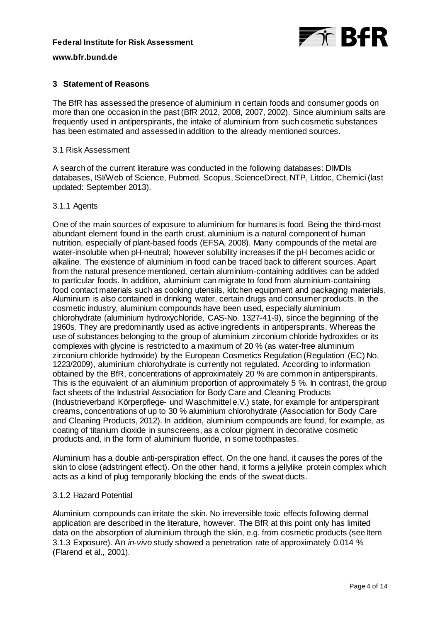

# **3 Statement of Reasons**

The BfR has assessed the presence of aluminium in certain foods and consumer goods on more than one occasion in the past (BfR 2012, 2008, 2007, 2002). Since aluminium salts are frequently used in antiperspirants, the intake of aluminium from such cosmetic substances has been estimated and assessed in addition to the already mentioned sources.

### 3.1 Risk Assessment

A search of the current literature was conducted in the following databases: DIMDIs databases, ISI/Web of Science, Pubmed, Scopus, ScienceDirect, NTP, Litdoc, Chemici (last updated: September 2013).

#### 3.1.1 Agents

One of the main sources of exposure to aluminium for humans is food. Being the third-most abundant element found in the earth crust, aluminium is a natural component of human nutrition, especially of plant-based foods (EFSA, 2008). Many compounds of the metal are water-insoluble when pH-neutral; however solubility increases if the pH becomes acidic or alkaline. The existence of aluminium in food can be traced back to different sources. Apart from the natural presence mentioned, certain aluminium-containing additives can be added to particular foods. In addition, aluminium can migrate to food from aluminium-containing food contact materials such as cooking utensils, kitchen equipment and packaging materials. Aluminium is also contained in drinking water, certain drugs and consumer products. In the cosmetic industry, aluminium compounds have been used, especially aluminium chlorohydrate (aluminium hydroxychloride, CAS-No. 1327-41-9), since the beginning of the 1960s. They are predominantly used as active ingredients in antiperspirants. Whereas the use of substances belonging to the group of aluminium zirconium chloride hydroxides or its complexes with glycine is restricted to a maximum of 20 % (as water-free aluminium zirconium chloride hydroxide) by the European Cosmetics Regulation (Regulation (EC) No. 1223/2009), aluminium chlorohydrate is currently not regulated. According to information obtained by the BfR, concentrations of approximately 20 % are common in antiperspirants. This is the equivalent of an aluminium proportion of approximately 5 %. In contrast, the group fact sheets of the Industrial Association for Body Care and Cleaning Products (Industrieverband Körperpflege- und Waschmittel e.V.) state, for example for antiperspirant creams, concentrations of up to 30 % aluminium chlorohydrate (Association for Body Care and Cleaning Products, 2012). In addition, aluminium compounds are found, for example, as coating of titanium dioxide in sunscreens, as a colour pigment in decorative cosmetic products and, in the form of aluminium fluoride, in some toothpastes.

Aluminium has a double anti-perspiration effect. On the one hand, it causes the pores of the skin to close (adstringent effect). On the other hand, it forms a jellylike protein complex which acts as a kind of plug temporarily blocking the ends of the sweat ducts.

## 3.1.2 Hazard Potential

Aluminium compounds can irritate the skin. No irreversible toxic effects following dermal application are described in the literature, however. The BfR at this point only has limited data on the absorption of aluminium through the skin, e.g. from cosmetic products (see Item 3.1.3 Exposure). An *in-vivo* study showed a penetration rate of approximately 0.014 % (Flarend et al., 2001).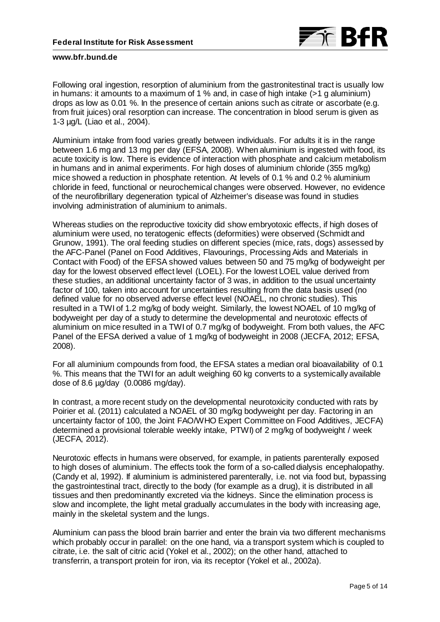

Following oral ingestion, resorption of aluminium from the gastronitestinal tract is usually low in humans: it amounts to a maximum of 1 % and, in case of high intake (>1 g aluminium) drops as low as 0.01 %. In the presence of certain anions such as citrate or ascorbate (e.g. from fruit juices) oral resorption can increase. The concentration in blood serum is given as 1-3 µg/L (Liao et al., 2004).

Aluminium intake from food varies greatly between individuals. For adults it is in the range between 1.6 mg and 13 mg per day (EFSA, 2008). When aluminium is ingested with food, its acute toxicity is low. There is evidence of interaction with phosphate and calcium metabolism in humans and in animal experiments. For high doses of aluminium chloride (355 mg/kg) mice showed a reduction in phosphate retention. At levels of 0.1 % and 0.2 % aluminium chloride in feed, functional or neurochemical changes were observed. However, no evidence of the neurofibrillary degeneration typical of Alzheimer's disease was found in studies involving administration of aluminium to animals.

Whereas studies on the reproductive toxicity did show embryotoxic effects, if high doses of aluminium were used, no teratogenic effects (deformities) were observed (Schmidt and Grunow, 1991). The oral feeding studies on different species (mice, rats, dogs) assessed by the AFC-Panel (Panel on Food Additives, Flavourings, Processing Aids and Materials in Contact with Food) of the EFSA showed values between 50 and 75 mg/kg of bodyweight per day for the lowest observed effect level (LOEL). For the lowest LOEL value derived from these studies, an additional uncertainty factor of 3 was, in addition to the usual uncertainty factor of 100, taken into account for uncertainties resulting from the data basis used (no defined value for no observed adverse effect level (NOAEL, no chronic studies). This resulted in a TWI of 1.2 mg/kg of body weight. Similarly, the lowest NOAEL of 10 mg/kg of bodyweight per day of a study to determine the developmental and neurotoxic effects of aluminium on mice resulted in a TWI of 0.7 mg/kg of bodyweight. From both values, the AFC Panel of the EFSA derived a value of 1 mg/kg of bodyweight in 2008 (JECFA, 2012; EFSA, 2008).

For all aluminium compounds from food, the EFSA states a median oral bioavailability of 0.1 %. This means that the TWI for an adult weighing 60 kg converts to a systemically available dose of 8.6 µg/day (0.0086 mg/day).

In contrast, a more recent study on the developmental neurotoxicity conducted with rats by Poirier et al. (2011) calculated a NOAEL of 30 mg/kg bodyweight per day. Factoring in an uncertainty factor of 100, the Joint FAO/WHO Expert Committee on Food Additives, JECFA) determined a provisional tolerable weekly intake, PTWI) of 2 mg/kg of bodyweight / week (JECFA, 2012).

Neurotoxic effects in humans were observed, for example, in patients parenterally exposed to high doses of aluminium. The effects took the form of a so-called dialysis encephalopathy. (Candy et al, 1992). If aluminium is administered parenterally, i.e. not via food but, bypassing the gastrointestinal tract, directly to the body (for example as a drug), it is distributed in all tissues and then predominantly excreted via the kidneys. Since the elimination process is slow and incomplete, the light metal gradually accumulates in the body with increasing age, mainly in the skeletal system and the lungs.

Aluminium can pass the blood brain barrier and enter the brain via two different mechanisms which probably occur in parallel: on the one hand, via a transport system which is coupled to citrate, i.e. the salt of citric acid (Yokel et al., 2002); on the other hand, attached to transferrin, a transport protein for iron, via its receptor (Yokel et al., 2002a).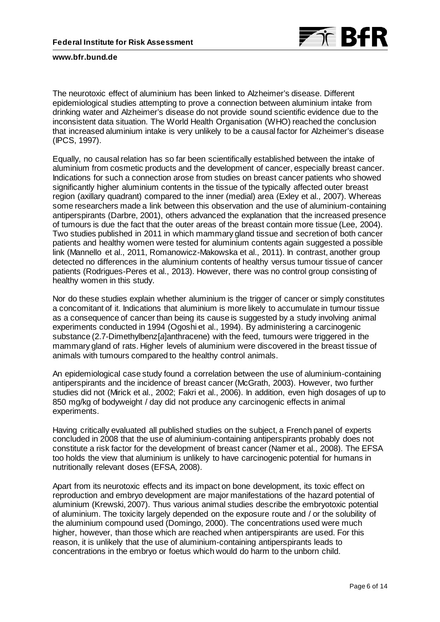

The neurotoxic effect of aluminium has been linked to Alzheimer's disease. Different epidemiological studies attempting to prove a connection between aluminium intake from drinking water and Alzheimer's disease do not provide sound scientific evidence due to the inconsistent data situation. The World Health Organisation (WHO) reached the conclusion that increased aluminium intake is very unlikely to be a causal factor for Alzheimer's disease (IPCS, 1997).

Equally, no causal relation has so far been scientifically established between the intake of aluminium from cosmetic products and the development of cancer, especially breast cancer. Indications for such a connection arose from studies on breast cancer patients who showed significantly higher aluminium contents in the tissue of the typically affected outer breast region (axillary quadrant) compared to the inner (medial) area (Exley et al., 2007). Whereas some researchers made a link between this observation and the use of aluminium-containing antiperspirants (Darbre, 2001), others advanced the explanation that the increased presence of tumours is due the fact that the outer areas of the breast contain more tissue (Lee, 2004). Two studies published in 2011 in which mammary gland tissue and secretion of both cancer patients and healthy women were tested for aluminium contents again suggested a possible link (Mannello et al., 2011, Romanowicz-Makowska et al., 2011). In contrast, another group detected no differences in the aluminium contents of healthy versus tumour tissue of cancer patients (Rodrigues-Peres et al., 2013). However, there was no control group consisting of healthy women in this study.

Nor do these studies explain whether aluminium is the trigger of cancer or simply constitutes a concomitant of it. Indications that aluminium is more likely to accumulate in tumour tissue as a consequence of cancer than being its cause is suggested by a study involving animal experiments conducted in 1994 (Ogoshi et al., 1994). By administering a carcinogenic substance (2.7-Dimethylbenz[*a*]anthracene) with the feed, tumours were triggered in the mammary gland of rats. Higher levels of aluminium were discovered in the breast tissue of animals with tumours compared to the healthy control animals.

An epidemiological case study found a correlation between the use of aluminium-containing antiperspirants and the incidence of breast cancer (McGrath, 2003). However, two further studies did not (Mirick et al., 2002; Fakri et al., 2006). In addition, even high dosages of up to 850 mg/kg of bodyweight / day did not produce any carcinogenic effects in animal experiments.

Having critically evaluated all published studies on the subject, a French panel of experts concluded in 2008 that the use of aluminium-containing antiperspirants probably does not constitute a risk factor for the development of breast cancer (Namer et al., 2008). The EFSA too holds the view that aluminium is unlikely to have carcinogenic potential for humans in nutritionally relevant doses (EFSA, 2008).

Apart from its neurotoxic effects and its impact on bone development, its toxic effect on reproduction and embryo development are major manifestations of the hazard potential of aluminium (Krewski, 2007). Thus various animal studies describe the embryotoxic potential of aluminium. The toxicity largely depended on the exposure route and / or the solubility of the aluminium compound used (Domingo, 2000). The concentrations used were much higher, however, than those which are reached when antiperspirants are used. For this reason, it is unlikely that the use of aluminium-containing antiperspirants leads to concentrations in the embryo or foetus which would do harm to the unborn child.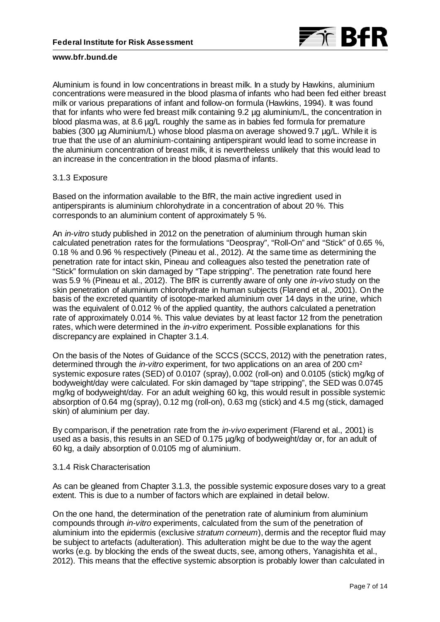

Aluminium is found in low concentrations in breast milk. In a study by Hawkins, aluminium concentrations were measured in the blood plasma of infants who had been fed either breast milk or various preparations of infant and follow-on formula (Hawkins, 1994). It was found that for infants who were fed breast milk containing 9.2 µg aluminium/L, the concentration in blood plasma was, at 8.6 µg/L roughly the same as in babies fed formula for premature babies (300 µg Aluminium/L) whose blood plasma on average showed 9.7 µg/L. While it is true that the use of an aluminium-containing antiperspirant would lead to some increase in the aluminium concentration of breast milk, it is nevertheless unlikely that this would lead to an increase in the concentration in the blood plasma of infants.

#### 3.1.3 Exposure

Based on the information available to the BfR, the main active ingredient used in antiperspirants is aluminium chlorohydrate in a concentration of about 20 %. This corresponds to an aluminium content of approximately 5 %.

An *in-vitro* study published in 2012 on the penetration of aluminium through human skin calculated penetration rates for the formulations "Deospray", "Roll-On" and "Stick" of 0.65 %, 0.18 % and 0.96 % respectively (Pineau et al., 2012). At the same time as determining the penetration rate for intact skin, Pineau and colleagues also tested the penetration rate of "Stick" formulation on skin damaged by "Tape stripping". The penetration rate found here was 5.9 % (Pineau et al., 2012). The BfR is currently aware of only one *in-vivo* study on the skin penetration of aluminium chlorohydrate in human subjects (Flarend et al., 2001). On the basis of the excreted quantity of isotope-marked aluminium over 14 days in the urine, which was the equivalent of 0.012 % of the applied quantity, the authors calculated a penetration rate of approximately 0.014 %. This value deviates by at least factor 12 from the penetration rates, which were determined in the *in-vitro* experiment. Possible explanations for this discrepancy are explained in Chapter 3.1.4.

On the basis of the Notes of Guidance of the SCCS (SCCS, 2012) with the penetration rates, determined through the *in-vitro* experiment, for two applications on an area of 200 cm² systemic exposure rates (SED) of 0.0107 (spray), 0.002 (roll-on) and 0.0105 (stick) mg/kg of bodyweight/day were calculated. For skin damaged by "tape stripping", the SED was 0.0745 mg/kg of bodyweight/day. For an adult weighing 60 kg, this would result in possible systemic absorption of 0.64 mg (spray), 0.12 mg (roll-on), 0.63 mg (stick) and 4.5 mg (stick, damaged skin) of aluminium per day.

By comparison, if the penetration rate from the *in-vivo* experiment (Flarend et al., 2001) is used as a basis, this results in an SED of 0.175 µg/kg of bodyweight/day or, for an adult of 60 kg, a daily absorption of 0.0105 mg of aluminium.

#### 3.1.4 Risk Characterisation

As can be gleaned from Chapter 3.1.3, the possible systemic exposure doses vary to a great extent. This is due to a number of factors which are explained in detail below.

On the one hand, the determination of the penetration rate of aluminium from aluminium compounds through *in-vitro* experiments, calculated from the sum of the penetration of aluminium into the epidermis (exclusive *stratum corneum*), dermis and the receptor fluid may be subject to artefacts (adulteration). This adulteration might be due to the way the agent works (e.g. by blocking the ends of the sweat ducts, see, among others, Yanagishita et al., 2012). This means that the effective systemic absorption is probably lower than calculated in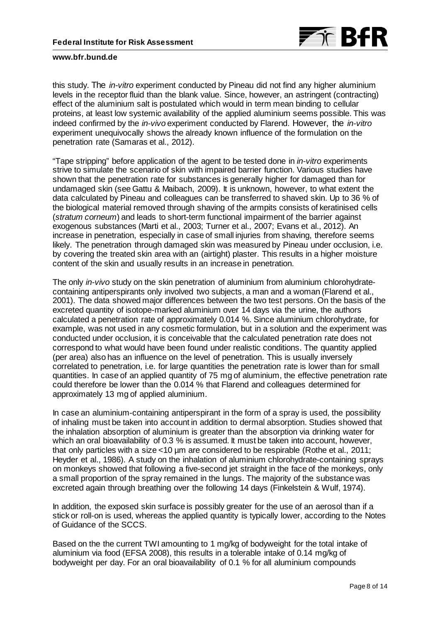

this study. The *in-vitro* experiment conducted by Pineau did not find any higher aluminium levels in the receptor fluid than the blank value. Since, however, an astringent (contracting) effect of the aluminium salt is postulated which would in term mean binding to cellular proteins, at least low systemic availability of the applied aluminium seems possible. This was indeed confirmed by the *in-vivo* experiment conducted by Flarend. However, the *in-vitro*  experiment unequivocally shows the already known influence of the formulation on the penetration rate (Samaras et al., 2012).

"Tape stripping" before application of the agent to be tested done in *in-vitro* experiments strive to simulate the scenario of skin with impaired barrier function. Various studies have shown that the penetration rate for substances is generally higher for damaged than for undamaged skin (see Gattu & Maibach, 2009). It is unknown, however, to what extent the data calculated by Pineau and colleagues can be transferred to shaved skin. Up to 36 % of the biological material removed through shaving of the armpits consists of keratinised cells (*stratum corneum*) and leads to short-term functional impairment of the barrier against exogenous substances (Marti et al., 2003; Turner et al., 2007; Evans et al., 2012). An increase in penetration, especially in case of small injuries from shaving, therefore seems likely. The penetration through damaged skin was measured by Pineau under occlusion, i.e. by covering the treated skin area with an (airtight) plaster. This results in a higher moisture content of the skin and usually results in an increase in penetration.

The only *in-vivo* study on the skin penetration of aluminium from aluminium chlorohydratecontaining antiperspirants only involved two subjects, a man and a woman (Flarend et al., 2001). The data showed major differences between the two test persons. On the basis of the excreted quantity of isotope-marked aluminium over 14 days via the urine, the authors calculated a penetration rate of approximately 0.014 %. Since aluminium chlorohydrate, for example, was not used in any cosmetic formulation, but in a solution and the experiment was conducted under occlusion, it is conceivable that the calculated penetration rate does not correspond to what would have been found under realistic conditions. The quantity applied (per area) also has an influence on the level of penetration. This is usually inversely correlated to penetration, i.e. for large quantities the penetration rate is lower than for small quantities. In case of an applied quantity of 75 mg of aluminium, the effective penetration rate could therefore be lower than the 0.014 % that Flarend and colleagues determined for approximately 13 mg of applied aluminium.

In case an aluminium-containing antiperspirant in the form of a spray is used, the possibility of inhaling must be taken into account in addition to dermal absorption. Studies showed that the inhalation absorption of aluminium is greater than the absorption via drinking water for which an oral bioavailability of 0.3 % is assumed. It must be taken into account, however, that only particles with a size <10 µm are considered to be respirable (Rothe et al., 2011; Heyder et al., 1986). A study on the inhalation of aluminium chlorohydrate-containing sprays on monkeys showed that following a five-second jet straight in the face of the monkeys, only a small proportion of the spray remained in the lungs. The majority of the substance was excreted again through breathing over the following 14 days (Finkelstein & Wulf, 1974).

In addition, the exposed skin surface is possibly greater for the use of an aerosol than if a stick or roll-on is used, whereas the applied quantity is typically lower, according to the Notes of Guidance of the SCCS.

Based on the the current TWI amounting to 1 mg/kg of bodyweight for the total intake of aluminium via food (EFSA 2008), this results in a tolerable intake of 0.14 mg/kg of bodyweight per day. For an oral bioavailability of 0.1 % for all aluminium compounds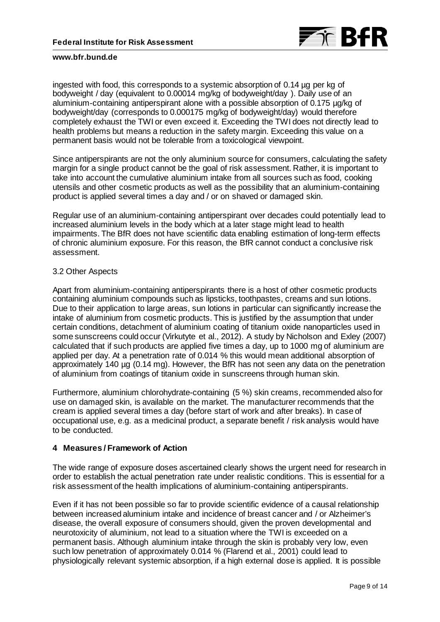

ingested with food, this corresponds to a systemic absorption of 0.14 µg per kg of bodyweight / day (equivalent to 0.00014 mg/kg of bodyweight/day ). Daily use of an aluminium-containing antiperspirant alone with a possible absorption of 0.175 µg/kg of bodyweight/day (corresponds to 0.000175 mg/kg of bodyweight/day) would therefore completely exhaust the TWI or even exceed it. Exceeding the TWI does not directly lead to health problems but means a reduction in the safety margin. Exceeding this value on a permanent basis would not be tolerable from a toxicological viewpoint.

Since antiperspirants are not the only aluminium source for consumers, calculating the safety margin for a single product cannot be the goal of risk assessment. Rather, it is important to take into account the cumulative aluminium intake from all sources such as food, cooking utensils and other cosmetic products as well as the possibility that an aluminium-containing product is applied several times a day and / or on shaved or damaged skin.

Regular use of an aluminium-containing antiperspirant over decades could potentially lead to increased aluminium levels in the body which at a later stage might lead to health impairments. The BfR does not have scientific data enabling estimation of long-term effects of chronic aluminium exposure. For this reason, the BfR cannot conduct a conclusive risk assessment.

### 3.2 Other Aspects

Apart from aluminium-containing antiperspirants there is a host of other cosmetic products containing aluminium compounds such as lipsticks, toothpastes, creams and sun lotions. Due to their application to large areas, sun lotions in particular can significantly increase the intake of aluminium from cosmetic products. This is justified by the assumption that under certain conditions, detachment of aluminium coating of titanium oxide nanoparticles used in some sunscreens could occur (Virkutyte et al., 2012). A study by Nicholson and Exley (2007) calculated that if such products are applied five times a day, up to 1000 mg of aluminium are applied per day. At a penetration rate of 0.014 % this would mean additional absorption of approximately 140 µg (0.14 mg). However, the BfR has not seen any data on the penetration of aluminium from coatings of titanium oxide in sunscreens through human skin.

Furthermore, aluminium chlorohydrate-containing (5 %) skin creams, recommended also for use on damaged skin, is available on the market. The manufacturer recommends that the cream is applied several times a day (before start of work and after breaks). In case of occupational use, e.g. as a medicinal product, a separate benefit / risk analysis would have to be conducted.

## **4 Measures / Framework of Action**

The wide range of exposure doses ascertained clearly shows the urgent need for research in order to establish the actual penetration rate under realistic conditions. This is essential for a risk assessment of the health implications of aluminium-containing antiperspirants.

Even if it has not been possible so far to provide scientific evidence of a causal relationship between increased aluminium intake and incidence of breast cancer and / or Alzheimer's disease, the overall exposure of consumers should, given the proven developmental and neurotoxicity of aluminium, not lead to a situation where the TWI is exceeded on a permanent basis. Although aluminium intake through the skin is probably very low, even such low penetration of approximately 0.014 % (Flarend et al., 2001) could lead to physiologically relevant systemic absorption, if a high external dose is applied. It is possible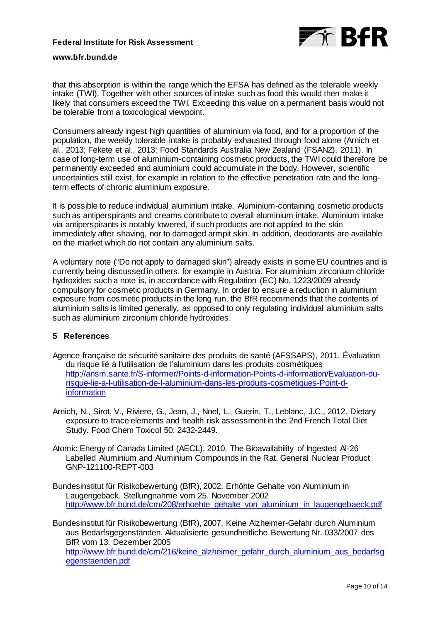

that this absorption is within the range which the EFSA has defined as the tolerable weekly intake (TWI). Together with other sources of intake such as food this would then make it likely that consumers exceed the TWI. Exceeding this value on a permanent basis would not be tolerable from a toxicological viewpoint.

Consumers already ingest high quantities of aluminium via food, and for a proportion of the population, the weekly tolerable intake is probably exhausted through food alone (Arnich et al., 2013; Fekete et al., 2013; Food Standards Australia New Zealand (FSANZ), 2011). In case of long-term use of aluminium-containing cosmetic products, the TWI could therefore be permanently exceeded and aluminium could accumulate in the body. However, scientific uncertainties still exist, for example in relation to the effective penetration rate and the longterm effects of chronic aluminium exposure.

It is possible to reduce individual aluminium intake. Aluminium-containing cosmetic products such as antiperspirants and creams contribute to overall aluminium intake. Aluminium intake via antiperspirants is notably lowered, if such products are not applied to the skin immediately after shaving, nor to damaged armpit skin. In addition, deodorants are available on the market which do not contain any aluminium salts.

A voluntary note ("Do not apply to damaged skin") already exists in some EU countries and is currently being discussed in others, for example in Austria. For aluminium zirconium chloride hydroxides such a note is, in accordance with Regulation (EC) No. 1223/2009 already compulsory for cosmetic products in Germany. In order to ensure a reduction in aluminium exposure from cosmetic products in the long run, the BfR recommends that the contents of aluminium salts is limited generally, as opposed to only regulating individual aluminium salts such as aluminium zirconium chloride hydroxides.

## **5 References**

- Agence française de sécurité sanitaire des produits de santé (AFSSAPS), 2011. Évaluation du risque lié à l'utilisation de l'aluminium dans les produits cosmétiques [http://ansm.sante.fr/S-informer/Points-d-information-Points-d-information/Evaluation-du](http://ansm.sante.fr/S-informer/Points-d-information-Points-d-information/Evaluation-du-risque-lie-a-l-utilisation-de-l-aluminium-dans-les-produits-cosmetiques-Point-d-information)[risque-lie-a-l-utilisation-de-l-aluminium-dans-les-produits-cosmetiques-Point-d](http://ansm.sante.fr/S-informer/Points-d-information-Points-d-information/Evaluation-du-risque-lie-a-l-utilisation-de-l-aluminium-dans-les-produits-cosmetiques-Point-d-information)[information](http://ansm.sante.fr/S-informer/Points-d-information-Points-d-information/Evaluation-du-risque-lie-a-l-utilisation-de-l-aluminium-dans-les-produits-cosmetiques-Point-d-information)
- Arnich, N., Sirot, V., Riviere, G., Jean, J., Noel, L., Guerin, T., Leblanc, J.C., 2012. Dietary exposure to trace elements and health risk assessment in the 2nd French Total Diet Study. Food Chem Toxicol 50: 2432-2449.
- Atomic Energy of Canada Limited (AECL), 2010. The Bioavailability of Ingested Al-26 Labelled Aluminium and Aluminium Compounds in the Rat, General Nuclear Product GNP-121100-REPT-003
- Bundesinstitut für Risikobewertung (BfR), 2002. Erhöhte Gehalte von Aluminium in Laugengebäck. Stellungnahme vom 25. November 2002 [http://www.bfr.bund.de/cm/208/erhoehte\\_gehalte\\_von\\_aluminium\\_in\\_laugengebaeck.pdf](http://www.bfr.bund.de/cm/208/erhoehte_gehalte_von_aluminium_in_laugengebaeck.pdf)

Bundesinstitut für Risikobewertung (BfR), 2007. Keine Alzheimer-Gefahr durch Aluminium aus Bedarfsgegenständen. Aktualisierte gesundheitliche Bewertung Nr. 033/2007 des BfR vom 13. Dezember 2005 [http://www.bfr.bund.de/cm/216/keine\\_alzheimer\\_gefahr\\_durch\\_aluminium\\_aus\\_bedarfsg](http://www.bfr.bund.de/cm/216/keine_alzheimer_gefahr_durch_aluminium_aus_bedarfsgegenstaenden.pdf) [egenstaenden.pdf](http://www.bfr.bund.de/cm/216/keine_alzheimer_gefahr_durch_aluminium_aus_bedarfsgegenstaenden.pdf)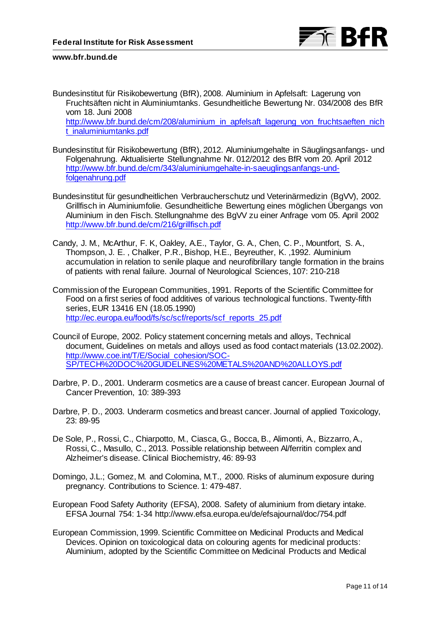

- Bundesinstitut für Risikobewertung (BfR), 2008. Aluminium in Apfelsaft: Lagerung von Fruchtsäften nicht in Aluminiumtanks. Gesundheitliche Bewertung Nr. 034/2008 des BfR vom 18. Juni 2008 [http://www.bfr.bund.de/cm/208/aluminium\\_in\\_apfelsaft\\_lagerung\\_von\\_fruchtsaeften\\_nich](http://www.bfr.bund.de/cm/208/aluminium_in_apfelsaft_lagerung_von_fruchtsaeften_nicht_inaluminiumtanks.pdf) [t\\_inaluminiumtanks.pdf](http://www.bfr.bund.de/cm/208/aluminium_in_apfelsaft_lagerung_von_fruchtsaeften_nicht_inaluminiumtanks.pdf)
- Bundesinstitut für Risikobewertung (BfR), 2012. Aluminiumgehalte in Säuglingsanfangs- und Folgenahrung. Aktualisierte Stellungnahme Nr. 012/2012 des BfR vom 20. April 2012 [http://www.bfr.bund.de/cm/343/aluminiumgehalte-in-saeuglingsanfangs-und](http://www.bfr.bund.de/cm/343/aluminiumgehalte-in-saeuglingsanfangs-und-folgenahrung.pdf)[folgenahrung.pdf](http://www.bfr.bund.de/cm/343/aluminiumgehalte-in-saeuglingsanfangs-und-folgenahrung.pdf)
- Bundesinstitut für gesundheitlichen Verbraucherschutz und Veterinärmedizin (BgVV), 2002. Grillfisch in Aluminiumfolie. Gesundheitliche Bewertung eines möglichen Übergangs von Aluminium in den Fisch. Stellungnahme des BgVV zu einer Anfrage vom 05. April 2002 <http://www.bfr.bund.de/cm/216/grillfisch.pdf>
- Candy, J. M., McArthur, F. K, Oakley, A.E., Taylor, G. A., Chen, C. P., Mountfort, S. A., Thompson, J. E. , Chalker, P.R., Bishop, H.E., Beyreuther, K. ,1992. Aluminium accumulation in relation to senile plaque and neurofibrillary tangle formation in the brains of patients with renal failure. Journal of Neurological Sciences, 107: 210-218
- Commission of the European Communities, 1991. Reports of the Scientific Committee for Food on a first series of food additives of various technological functions. Twenty-fifth series, EUR 13416 EN (18.05.1990) [http://ec.europa.eu/food/fs/sc/scf/reports/scf\\_reports\\_25.pdf](http://ec.europa.eu/food/fs/sc/scf/reports/scf_reports_25.pdf)
- Council of Europe, 2002. Policy statement concerning metals and alloys, Technical document, Guidelines on metals and alloys used as food contact materials (13.02.2002). [http://www.coe.int/T/E/Social\\_cohesion/SOC-](http://www.coe.int/T/E/Social_cohesion/SOC-SP/TECH%20DOC%20GUIDELINES%20METALS%20AND%20ALLOYS.pdf)[SP/TECH%20DOC%20GUIDELINES%20METALS%20AND%20ALLOYS.pdf](http://www.coe.int/T/E/Social_cohesion/SOC-SP/TECH%20DOC%20GUIDELINES%20METALS%20AND%20ALLOYS.pdf)
- Darbre, P. D., 2001. Underarm cosmetics are a cause of breast cancer. European Journal of Cancer Prevention, 10: 389-393
- Darbre, P. D., 2003. Underarm cosmetics and breast cancer. Journal of applied Toxicology, 23: 89-95
- De Sole, P., Rossi, C., Chiarpotto, M., Ciasca, G., Bocca, B., Alimonti, A., Bizzarro, A., Rossi, C., Masullo, C., 2013. Possible relationship between Al/ferritin complex and Alzheimer's disease. Clinical Biochemistry, 46: 89-93
- Domingo, J.L.; Gomez, M. and Colomina, M.T., 2000. Risks of aluminum exposure during pregnancy. Contributions to Science. 1: 479-487.
- European Food Safety Authority (EFSA), 2008. Safety of aluminium from dietary intake. EFSA Journal 754: 1-34 http://www.efsa.europa.eu/de/efsajournal/doc/754.pdf
- European Commission, 1999. Scientific Committee on Medicinal Products and Medical Devices. Opinion on toxicological data on colouring agents for medicinal products: Aluminium, adopted by the Scientific Committee on Medicinal Products and Medical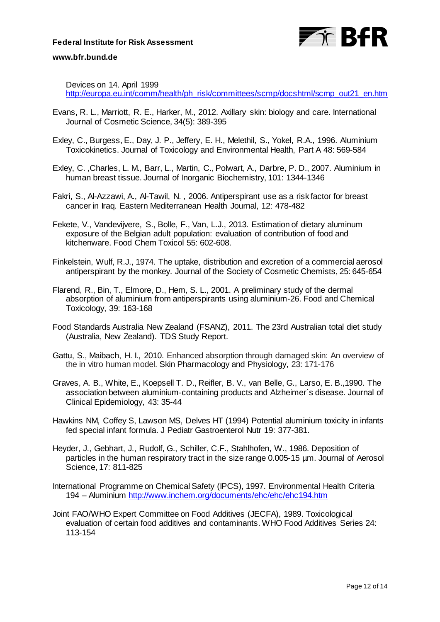Devices on 14. April 1999

[http://europa.eu.int/comm/health/ph\\_risk/committees/scmp/docshtml/scmp\\_out21\\_en.htm](http://europa.eu.int/comm/health/ph_risk/committees/scmp/docshtml/scmp_out21_en.htm)

- Evans, R. L., Marriott, R. E., Harker, M., 2012. Axillary skin: biology and care. International Journal of Cosmetic Science, 34(5): 389-395
- Exley, C., Burgess, E., Day, J. P., Jeffery, E. H., Melethil, S., Yokel, R.A., 1996. Aluminium Toxicokinetics. Journal of Toxicology and Environmental Health, Part A 48: 569-584
- Exley, C. ,Charles, L. M., Barr, L., Martin, C., Polwart, A., Darbre, P. D., 2007. Aluminium in human breast tissue. Journal of Inorganic Biochemistry, 101: 1344-1346
- Fakri, S., Al-Azzawi, A., Al-Tawil, N. , 2006. Antiperspirant use as a risk factor for breast cancer in Iraq. Eastern Mediterranean Health Journal, 12: 478-482
- Fekete, V., Vandevijvere, S., Bolle, F., Van, L.J., 2013. Estimation of dietary aluminum exposure of the Belgian adult population: evaluation of contribution of food and kitchenware. Food Chem Toxicol 55: 602-608.
- Finkelstein, Wulf, R.J., 1974. The uptake, distribution and excretion of a commercial aerosol antiperspirant by the monkey. Journal of the Society of Cosmetic Chemists, 25: 645-654
- Flarend, R., Bin, T., Elmore, D., Hem, S. L., 2001. A preliminary study of the dermal absorption of aluminium from antiperspirants using aluminium-26. Food and Chemical Toxicology, 39: 163-168
- Food Standards Australia New Zealand (FSANZ), 2011. The 23rd Australian total diet study (Australia, New Zealand). TDS Study Report.
- Gattu, S., Maibach, H. I., 2010. Enhanced absorption through damaged skin: An overview of the in vitro human model. Skin Pharmacology and Physiology, 23: 171-176
- Graves, A. B., White, E., Koepsell T. D., Reifler, B. V., van Belle, G., Larso, E. B.,1990. The association between aluminium-containing products and Alzheimer´s disease. Journal of Clinical Epidemiology, 43: 35-44
- Hawkins NM, Coffey S, Lawson MS, Delves HT (1994) Potential aluminium toxicity in infants fed special infant formula. J Pediatr Gastroenterol Nutr 19: 377-381.
- Heyder, J., Gebhart, J., Rudolf, G., Schiller, C.F., Stahlhofen, W., 1986. Deposition of particles in the human respiratory tract in the size range 0.005-15 µm. Journal of Aerosol Science, 17: 811-825
- International Programme on Chemical Safety (IPCS), 1997. Environmental Health Criteria 194 – Aluminium<http://www.inchem.org/documents/ehc/ehc/ehc194.htm>
- Joint FAO/WHO Expert Committee on Food Additives (JECFA), 1989. Toxicological evaluation of certain food additives and contaminants. WHO Food Additives Series 24: 113-154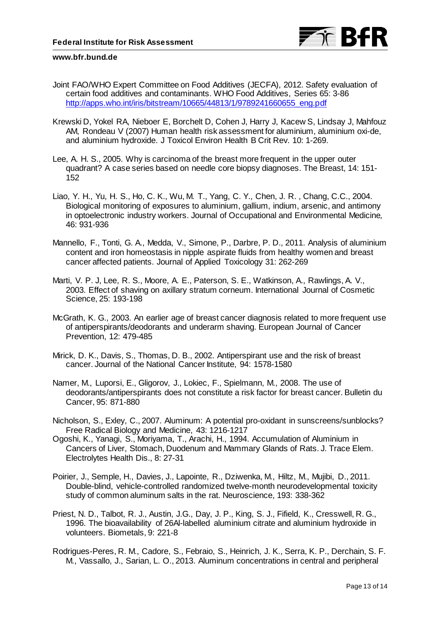

- Joint FAO/WHO Expert Committee on Food Additives (JECFA), 2012. Safety evaluation of certain food additives and contaminants. WHO Food Additives, Series 65: 3-86 [http://apps.who.int/iris/bitstream/10665/44813/1/9789241660655\\_eng.pdf](http://apps.who.int/iris/bitstream/10665/44813/1/9789241660655_eng.pdf)
- Krewski D, Yokel RA, Nieboer E, Borchelt D, Cohen J, Harry J, Kacew S, Lindsay J, Mahfouz AM, Rondeau V (2007) Human health risk assessment for aluminium, aluminium oxi-de, and aluminium hydroxide. J Toxicol Environ Health B Crit Rev. 10: 1-269.
- Lee, A. H. S., 2005. Why is carcinoma of the breast more frequent in the upper outer quadrant? A case series based on needle core biopsy diagnoses. The Breast, 14: 151- 152
- Liao, Y. H., Yu, H. S., Ho, C. K., Wu, M. T., Yang, C. Y., Chen, J. R. , Chang, C.C., 2004. Biological monitoring of exposures to aluminium, gallium, indium, arsenic, and antimony in optoelectronic industry workers. Journal of Occupational and Environmental Medicine*,*  46: 931-936
- Mannello, F., Tonti, G. A., Medda, V., Simone, P., Darbre, P. D., 2011. Analysis of aluminium content and iron homeostasis in nipple aspirate fluids from healthy women and breast cancer affected patients. Journal of Applied Toxicology 31: 262-269
- Marti, V. P. J, Lee, R. S., Moore, A. E., Paterson, S. E., Watkinson, A., Rawlings, A. V., 2003. Effect of shaving on axillary stratum corneum. International Journal of Cosmetic Science, 25: 193-198
- McGrath, K. G., 2003. An earlier age of breast cancer diagnosis related to more frequent use of antiperspirants/deodorants and underarm shaving. European Journal of Cancer Prevention, 12: 479-485
- Mirick, D. K., Davis, S., Thomas, D. B., 2002. Antiperspirant use and the risk of breast cancer. Journal of the National Cancer Institute, 94: 1578-1580
- Namer, M., Luporsi, E., Gligorov, J., Lokiec, F., Spielmann, M., 2008. The use of deodorants/antiperspirants does not constitute a risk factor for breast cancer. Bulletin du Cancer, 95: 871-880
- Nicholson, S., Exley, C., 2007. Aluminum: A potential pro-oxidant in sunscreens/sunblocks? Free Radical Biology and Medicine, 43: 1216-1217
- Ogoshi, K., Yanagi, S., Moriyama, T., Arachi, H., 1994. Accumulation of Aluminium in Cancers of Liver, Stomach, Duodenum and Mammary Glands of Rats. J. Trace Elem. Electrolytes Health Dis., 8: 27-31
- Poirier, J., Semple, H., Davies, J., Lapointe, R., Dziwenka, M., Hiltz, M., Mujibi, D., 2011. Double-blind, vehicle-controlled randomized twelve-month neurodevelopmental toxicity study of common aluminum salts in the rat. Neuroscience, 193: 338-362
- Priest, N. D., Talbot, R. J., Austin, J.G., Day, J. P., King, S. J., Fifield, K., Cresswell, R. G., 1996. The bioavailability of 26Al-labelled aluminium citrate and aluminium hydroxide in volunteers. Biometals, 9: 221-8
- Rodrigues-Peres, R. M., Cadore, S., Febraio, S., Heinrich, J. K., Serra, K. P., Derchain, S. F. M., Vassallo, J., Sarian, L. O., 2013. Aluminum concentrations in central and peripheral